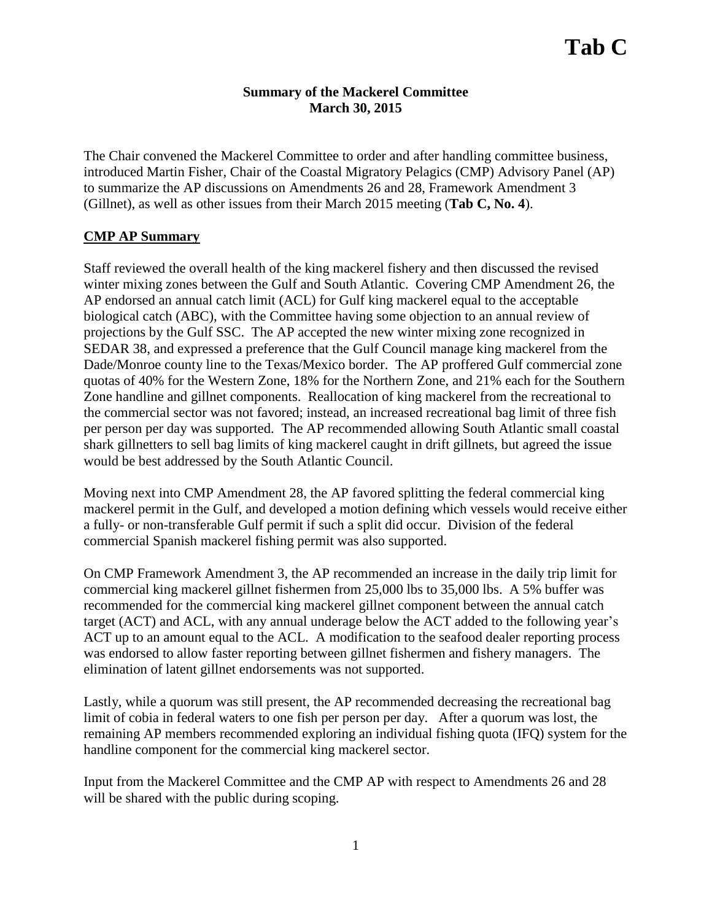## **Summary of the Mackerel Committee March 30, 2015**

The Chair convened the Mackerel Committee to order and after handling committee business, introduced Martin Fisher, Chair of the Coastal Migratory Pelagics (CMP) Advisory Panel (AP) to summarize the AP discussions on Amendments 26 and 28, Framework Amendment 3 (Gillnet), as well as other issues from their March 2015 meeting (**Tab C, No. 4**).

## **CMP AP Summary**

Staff reviewed the overall health of the king mackerel fishery and then discussed the revised winter mixing zones between the Gulf and South Atlantic. Covering CMP Amendment 26, the AP endorsed an annual catch limit (ACL) for Gulf king mackerel equal to the acceptable biological catch (ABC), with the Committee having some objection to an annual review of projections by the Gulf SSC. The AP accepted the new winter mixing zone recognized in SEDAR 38, and expressed a preference that the Gulf Council manage king mackerel from the Dade/Monroe county line to the Texas/Mexico border. The AP proffered Gulf commercial zone quotas of 40% for the Western Zone, 18% for the Northern Zone, and 21% each for the Southern Zone handline and gillnet components. Reallocation of king mackerel from the recreational to the commercial sector was not favored; instead, an increased recreational bag limit of three fish per person per day was supported. The AP recommended allowing South Atlantic small coastal shark gillnetters to sell bag limits of king mackerel caught in drift gillnets, but agreed the issue would be best addressed by the South Atlantic Council.

Moving next into CMP Amendment 28, the AP favored splitting the federal commercial king mackerel permit in the Gulf, and developed a motion defining which vessels would receive either a fully- or non-transferable Gulf permit if such a split did occur. Division of the federal commercial Spanish mackerel fishing permit was also supported.

On CMP Framework Amendment 3, the AP recommended an increase in the daily trip limit for commercial king mackerel gillnet fishermen from 25,000 lbs to 35,000 lbs. A 5% buffer was recommended for the commercial king mackerel gillnet component between the annual catch target (ACT) and ACL, with any annual underage below the ACT added to the following year's ACT up to an amount equal to the ACL. A modification to the seafood dealer reporting process was endorsed to allow faster reporting between gillnet fishermen and fishery managers. The elimination of latent gillnet endorsements was not supported.

Lastly, while a quorum was still present, the AP recommended decreasing the recreational bag limit of cobia in federal waters to one fish per person per day. After a quorum was lost, the remaining AP members recommended exploring an individual fishing quota (IFQ) system for the handline component for the commercial king mackerel sector.

Input from the Mackerel Committee and the CMP AP with respect to Amendments 26 and 28 will be shared with the public during scoping.